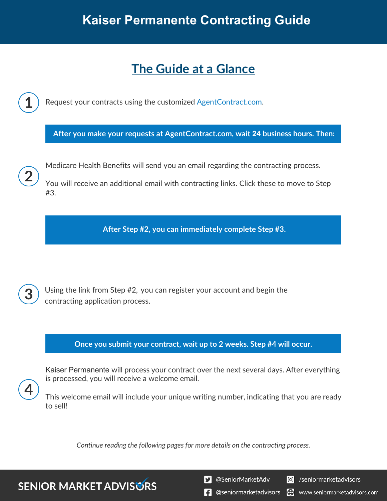# **The Guide at a Glance**

Request your contracts using the customized [AgentContract.com.](http://agentcontracting.com/) **After you make your requests at AgentContract.com, wait 24 business hours. Then:**  Medicare Health Benefits will send you an email regarding the contracting process. You will receive an additional email with contracting links. Click these to move to Step #3. **After Step #2, you can immediately complete Step #3.** 

Using the link from Step #2, you can register your account and begin the contracting application process.

### **Once you submit your contract, wait up to 2 weeks. Step #4 will occur.**

Kaiser Permanente will process your contract over the next several days. After everything is processed, you will receive a welcome email.

This welcome email will include your unique writing number, indicating that you are ready to sell!

*Continue reading the following pages for more details on the contracting process.*

**SENIOR MARKET ADVISURS** 

S @SeniorMarketAdv

Seniormarketadvisors

**1** @seniormarketadvisors (.) www.seniormarketadvisors.com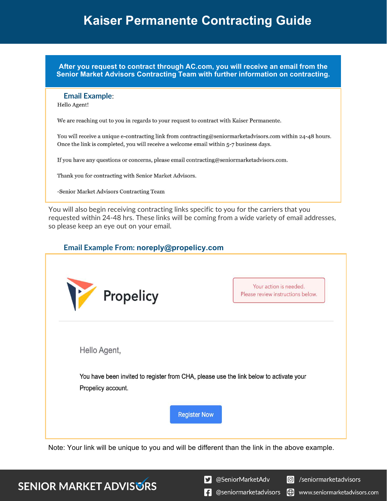**After you request to contract through AC.com, you will receive an email from the Senior Market Advisors Contracting Team with further information on contracting.**

#### **Email Example**:

Hello Agent!

We are reaching out to you in regards to your request to contract with Kaiser Permanente.

You will receive a unique e-contracting link from contracting@seniormarketadvisors.com within 24-48 hours. Once the link is completed, you will receive a welcome email within 5-7 business days.

If you have any questions or concerns, please email contracting@seniormarketadvisors.com.

Thank you for contracting with Senior Market Advisors.

-Senior Market Advisors Contracting Team

You will also begin receiving contracting links specific to you for the carriers that you requested within 24-48 hrs. These links will be coming from a wide variety of email addresses, so please keep an eye out on your email.

#### **Email Example From: noreply@propelicy.com**

| M<br>Propelicy                                                                         | Your action is needed.<br>Please review instructions below. |
|----------------------------------------------------------------------------------------|-------------------------------------------------------------|
| Hello Agent,                                                                           |                                                             |
| You have been invited to register from CHA, please use the link below to activate your |                                                             |
| Propelicy account.                                                                     |                                                             |
| <b>Register Now</b>                                                                    |                                                             |

Note: Your link will be unique to you and will be different than the link in the above example.

### **SENIOR MARKET ADVISURS**

S @SeniorMarketAdv

C /seniormarketadvisors

 $\left| \cdot \right|$  @seniormarketadvisors Ð www.seniormarketadvisors.com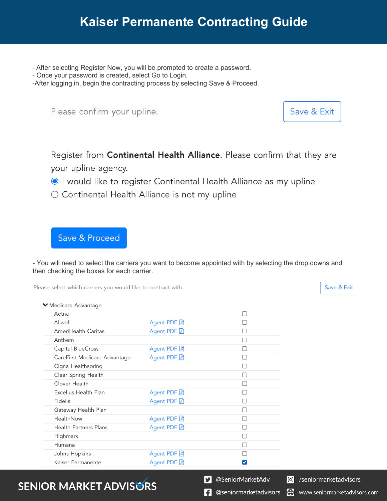- After selecting Register Now, you will be prompted to create a password.
- Once your password is created, select Go to Login.

-After logging in, begin the contracting process by selecting Save & Proceed.

Please confirm your upline.

Save & Exit

Register from Continental Health Alliance. Please confirm that they are your upline agency.

- I would like to register Continental Health Alliance as my upline
- Continental Health Alliance is not my upline

Save & Proceed

- You will need to select the carriers you want to become appointed with by selecting the drop downs and then checking the boxes for each carrier.

Please select which carriers you would like to contract with.

Save & Exit

|  |  |  | ▼ Medicare Advantage |  |
|--|--|--|----------------------|--|
|--|--|--|----------------------|--|

| Aetna                        |             |   |
|------------------------------|-------------|---|
| Allwell                      | Agent PDF A |   |
| AmeriHealth Caritas          | Agent PDF A |   |
| Anthem                       |             |   |
| Capital BlueCross            | Agent PDF A |   |
| CareFirst Medicare Advantage | Agent PDF A |   |
| Cigna Healthspring           |             |   |
| Clear Spring Health          |             |   |
| Clover Health                |             |   |
| Excellus Health Plan         | Agent PDF A |   |
| Fidelis                      | Agent PDF A |   |
| Gateway Health Plan          |             |   |
| HealthNow                    | Agent PDF A |   |
| <b>Health Partners Plans</b> | Agent PDF A |   |
| Highmark                     |             |   |
| Humana                       |             |   |
| Johns Hopkins                | Agent PDF A |   |
| Kaiser Permanente            | Agent PDF A | V |

## **SENIOR MARKET ADVISURS**

S @SeniorMarketAdv

C /seniormarketadvisors

 $\left| \cdot \right|$  @seniormarketadvisors